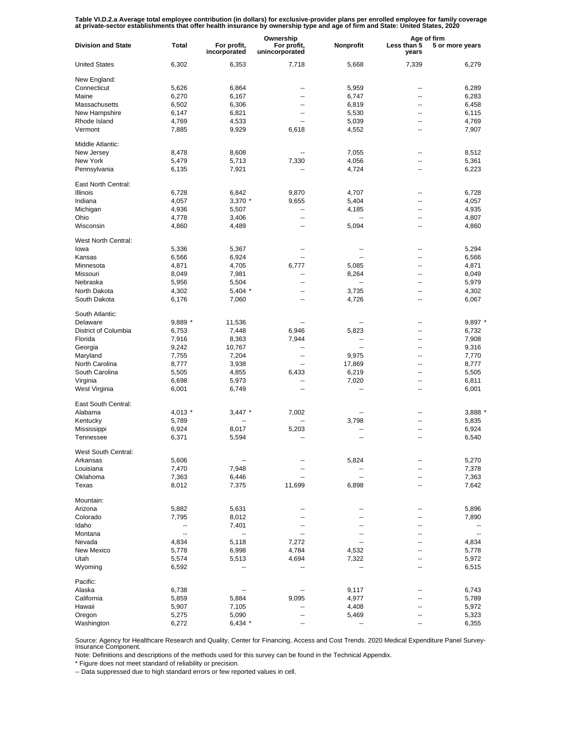Table VI.D.2.a Average total employee contribution (in dollars) for exclusive-provider plans per enrolled employee for family coverage<br>at private-sector establishments that offer health insurance by ownership type and age

|                           |                          | Ownership                   |                               |                          | Age of firm              |                 |
|---------------------------|--------------------------|-----------------------------|-------------------------------|--------------------------|--------------------------|-----------------|
| <b>Division and State</b> | Total                    | For profit,<br>incorporated | For profit,<br>unincorporated | Nonprofit                | Less than 5<br>years     | 5 or more years |
| <b>United States</b>      | 6,302                    | 6,353                       | 7,718                         | 5,668                    | 7,339                    | 6,279           |
| New England:              |                          |                             |                               |                          |                          |                 |
| Connecticut               | 5,626                    | 6,864                       | --                            | 5,959                    | --                       | 6,289           |
| Maine                     | 6,270                    | 6,167                       | --                            | 6,747                    | $\overline{\phantom{a}}$ | 6,283           |
| Massachusetts             | 6,502                    | 6,306                       | --                            | 6,819                    | --                       | 6,458           |
| New Hampshire             | 6,147                    | 6,821                       | --                            | 5,530                    | --                       | 6,115           |
| Rhode Island              | 4,769                    | 4,533                       | --                            | 5,039                    | --                       | 4,769           |
| Vermont                   | 7,885                    | 9,929                       | 6,618                         | 4,552                    | --                       | 7,907           |
| Middle Atlantic:          |                          |                             |                               |                          |                          |                 |
| New Jersey                | 8,478                    | 8,608                       |                               | 7,055                    | $\overline{\phantom{a}}$ | 8,512           |
| New York                  | 5,479                    | 5,713                       | 7,330                         | 4,056                    | $\overline{a}$           | 5,361           |
| Pennsylvania              | 6,135                    | 7,921                       |                               | 4,724                    | $\overline{\phantom{a}}$ | 6,223           |
|                           |                          |                             |                               |                          |                          |                 |
| East North Central:       |                          |                             |                               |                          |                          |                 |
| Illinois                  | 6,728                    | 6,842                       | 9,870                         | 4,707                    | --                       | 6,728           |
| Indiana                   | 4,057                    | 3,370 *                     | 9,655                         | 5,404                    | --                       | 4,057           |
| Michigan                  | 4,936                    | 5,507                       | $\overline{\phantom{a}}$      | 4,185                    | --                       | 4,935           |
| Ohio                      | 4,778                    | 3,406                       | $\overline{a}$                | Ξ.                       | --                       | 4,807           |
| Wisconsin                 | 4,860                    | 4,489                       | $\overline{a}$                | 5,094                    | --                       | 4,860           |
|                           |                          |                             |                               |                          |                          |                 |
| West North Central:       |                          |                             |                               |                          |                          |                 |
| lowa                      | 5,336                    | 5,367                       | ٠.                            |                          | --                       | 5,294           |
| Kansas                    | 6,566                    | 6,924                       | ٠.                            |                          | --                       | 6,566           |
| Minnesota                 | 4,871                    | 4,705                       | 6,777                         | 5,085                    | --                       | 4,871           |
| Missouri                  | 8,049                    | 7,981                       | --                            | 8,264                    | $\overline{\phantom{a}}$ | 8,049           |
| Nebraska                  | 5,956                    | 5,504                       | --                            |                          | --                       | 5,979           |
| North Dakota              | 4,302                    | $5,404$ *                   | --                            | 3,735                    | --                       | 4,302           |
| South Dakota              | 6,176                    | 7,060                       | ٠.                            | 4,726                    | --                       | 6,067           |
|                           |                          |                             |                               |                          |                          |                 |
| South Atlantic:           |                          |                             |                               |                          |                          |                 |
| Delaware                  | 9,889 *                  | 11,536                      | --                            |                          | --                       | $9,897$ *       |
| District of Columbia      | 6,753                    | 7,448                       | 6,946                         | 5,823                    | $\overline{\phantom{a}}$ | 6,732           |
| Florida                   | 7,916                    | 8,363                       | 7,944                         | --                       | $-$                      | 7,908           |
| Georgia                   | 9,242                    | 10,767                      | --                            | $\overline{\phantom{a}}$ | $\overline{\phantom{a}}$ | 9,316           |
| Maryland                  | 7,755                    | 7,204                       | --                            | 9,975                    | $\overline{a}$           | 7,770           |
| North Carolina            | 8,777                    | 3,938                       | --                            | 17,869                   | $\overline{\phantom{a}}$ | 8,777           |
| South Carolina            | 5,505                    | 4,855                       | 6,433                         | 6,219                    | $\overline{\phantom{a}}$ | 5,505           |
| Virginia                  | 6,698                    | 5,973                       | --                            | 7,020                    | $\overline{\phantom{a}}$ | 6,811           |
| West Virginia             | 6,001                    | 6,749                       | --                            | --                       | $\overline{\phantom{a}}$ | 6,001           |
| East South Central:       |                          |                             |                               |                          |                          |                 |
| Alabama                   | 4,013 *                  | $3,447$ *                   | 7,002                         | --                       | --                       | 3,888 *         |
|                           |                          |                             |                               |                          |                          |                 |
| Kentucky                  | 5,789                    | --                          |                               | 3,798                    |                          | 5,835           |
| Mississippi               | 6,924                    | 8,017                       | 5,203                         | --                       |                          | 6,924           |
| Tennessee                 | 6,371                    | 5,594                       | --                            | --                       | --                       | 6,540           |
| West South Central:       |                          |                             |                               |                          |                          |                 |
| Arkansas                  | 5,606                    |                             |                               | 5,824                    |                          | 5,270           |
| Louisiana                 | 7,470                    | 7,948                       | --                            |                          | --                       | 7,378           |
| Oklahoma                  | 7,363                    | 6,446                       |                               | --                       |                          | 7,363           |
| Texas                     | 8,012                    | 7,375                       | 11,699                        | 6,898                    |                          | 7,642           |
|                           |                          |                             |                               |                          |                          |                 |
| Mountain:                 |                          |                             |                               |                          |                          |                 |
| Arizona                   | 5,882                    | 5,631                       | --                            | --                       |                          | 5,896           |
| Colorado                  | 7,795                    | 8,012                       | --                            | --                       |                          | 7,890           |
| Idaho                     | ۰.                       | 7,401                       | --                            | --                       |                          |                 |
| Montana                   | $\overline{\phantom{a}}$ | $\overline{\phantom{a}}$    | --                            | --                       |                          | --              |
| Nevada                    | 4,834                    | 5,118                       | 7,272                         | --                       |                          | 4,834           |
| New Mexico                | 5,778                    | 6,998                       | 4,784                         | 4,532                    |                          | 5,778           |
| Utah                      | 5,574                    | 5,513                       | 4,694                         | 7,322                    |                          | 5,972           |
| Wyoming                   | 6,592                    |                             |                               | --                       |                          | 6,515           |
| Pacific:                  |                          |                             |                               |                          |                          |                 |
|                           |                          |                             |                               |                          |                          |                 |
| Alaska                    | 6,738                    | $\overline{\phantom{a}}$    | --                            | 9,117                    |                          | 6,743           |
| California                | 5,859                    | 5,884                       | 9,095                         | 4,977                    |                          | 5,789           |
| Hawaii                    | 5,907                    | 7,105                       | --                            | 4,408                    |                          | 5,972           |
| Oregon                    | 5,275                    | 5,090                       | --                            | 5,469                    |                          | 5,323           |
| Washington                | 6,272                    | 6,434 *                     |                               |                          |                          | 6,355           |

Source: Agency for Healthcare Research and Quality, Center for Financing, Access and Cost Trends. 2020 Medical Expenditure Panel Survey-Insurance Component.

Note: Definitions and descriptions of the methods used for this survey can be found in the Technical Appendix.

\* Figure does not meet standard of reliability or precision.

-- Data suppressed due to high standard errors or few reported values in cell.